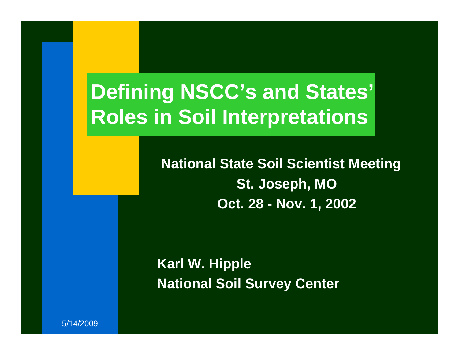# **Defining NSCC's and States' Roles in Soil Interpretations**

**National State Soil Scientist Meeting St. Joseph, MO Oct. 28 - Nov. 1, 2002**

**Karl W. Hipple National Soil Survey Center**

5/14/2009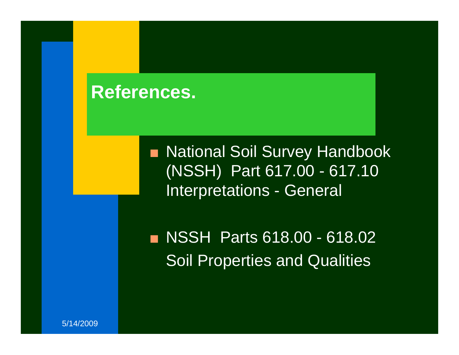#### **References.**

■ National Soil Survey Handbook (NSSH) Part 617.00 - 617.10 Interpretations - General

■ NSSH Parts 618.00 - 618.02 Soil Properties and Qualities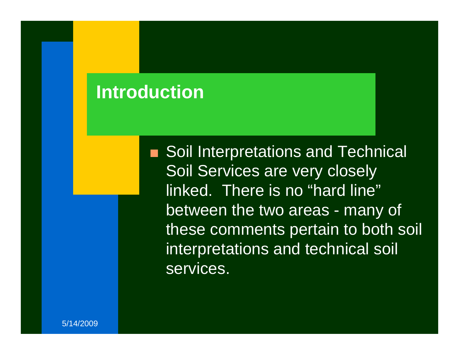#### **Introduction**

■ Soil Interpretations and Technical Soil Services are very closely linked. There is no "hard line" between the two areas - many of these comments pertain to both soil interpretations and technical soil services.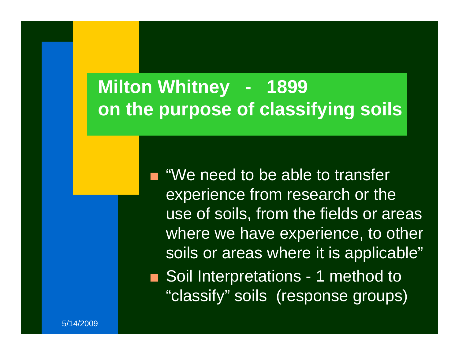# **Milton Whitney - 1899 on the purpose of classifying soils**

 $\blacksquare$  "We need to be able to transfer experience from research or the use of soils, from the fields or areas where we have experience, to other soils or areas where it is applicable" ■ Soil Interpretations - 1 method to "classify" soils (response groups)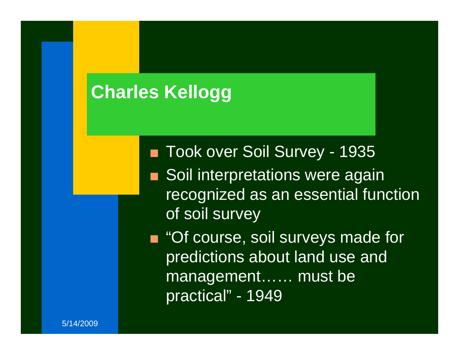# **Charles Kellogg**

- Took over Soil Survey 1935
- $\blacksquare$  Soil interpretations were again recognized as an essential function of soil survey
- "Of course, soil surveys made for predictions about land use and management…… must be practical" - 1949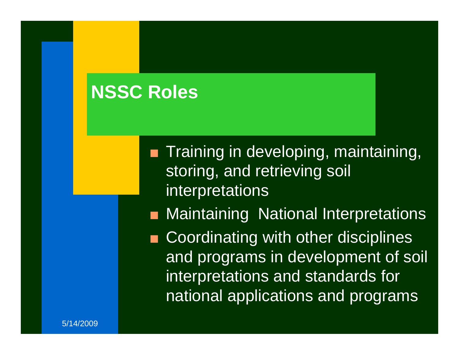# **NSSC Roles**

- $\blacksquare$  Training in developing, maintaining, storing, and retrieving soil interpretations
- QMaintaining National Interpretations
- Q Coordinating with other disciplines and programs in development of soil interpretations and standards for national applications and programs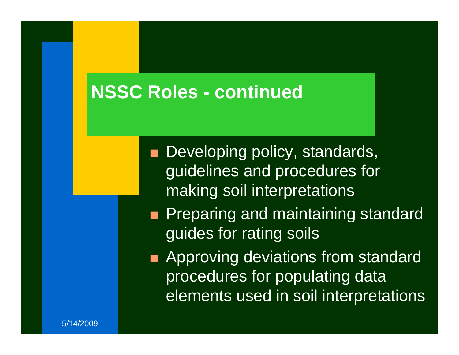### **NSSC Roles - continued**

- **Developing policy, standards,** guidelines and procedures for making soil interpretations
- $\blacksquare$  Preparing and maintaining standard guides for rating soils
- $\blacksquare$  Approving deviations from standard procedures for populating data elements used in soil interpretations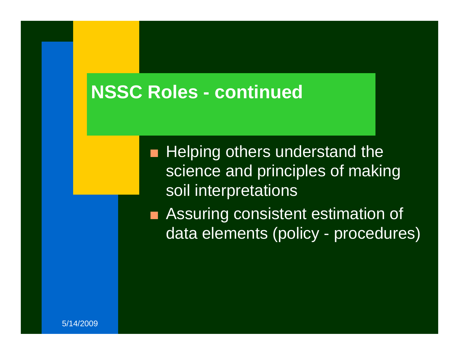#### **NSSC Roles - continued**

 $\blacksquare$  Helping others understand the science and principles of making soil interpretations

 $\blacksquare$  Assuring consistent estimation of data elements (policy - procedures)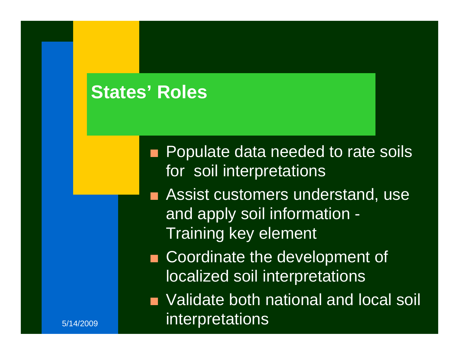### **States' Roles**

5/14/2009

- $\blacksquare$  Populate data needed to rate soils for soil interpretations
- $\blacksquare$  Assist customers understand, use and apply soil information - Training key element
- **Coordinate the development of** localized soil interpretations
- $\blacksquare$  Validate both national and local soil interpretations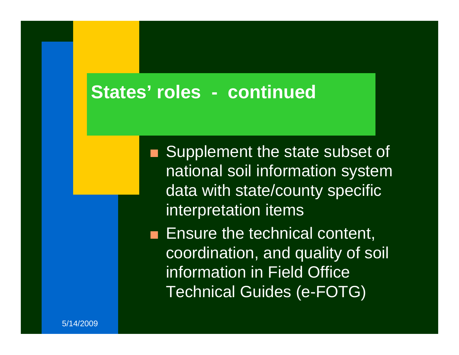#### **States' roles - continued**

- Supplement the state subset of national soil information system data with state/county specific interpretation items
- $\blacksquare$  Ensure the technical content, coordination, and quality of soil information in Field Office Technical Guides (e-FOTG)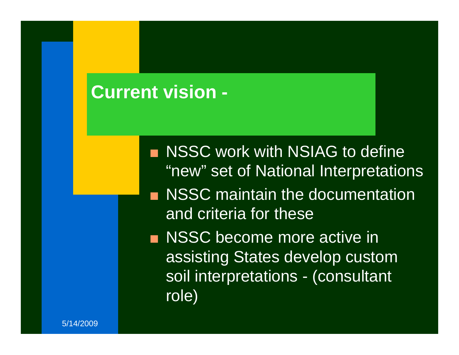#### **Current vision -**

**NSSC work with NSIAG to define** "new" set of National Interpretations **NSSC maintain the documentation** and criteria for these**NSSC become more active in** assisting States develop custom soil interpretations - (consultant role)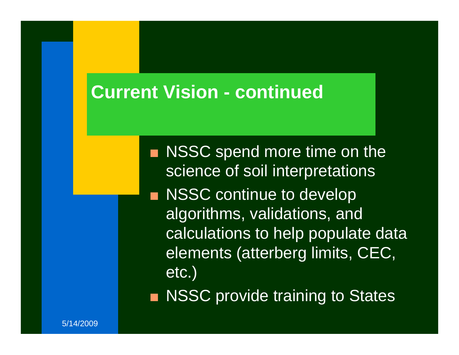### **Current Vision - continued**

 $\blacksquare$  NSSC spend more time on the science of soil interpretations **NSSC continue to develop** algorithms, validations, and calculations to help populate data elements (atterberg limits, CEC, etc.) ■ NSSC provide training to States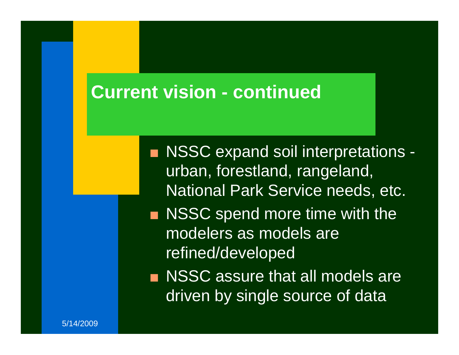#### **Current vision - continued**

■ NSSC expand soil interpretations urban, forestland, rangeland, National Park Service needs, etc.  $\blacksquare$  NSSC spend more time with the modelers as models are refined/developed

 $\blacksquare$  NSSC assure that all models are driven by single source of data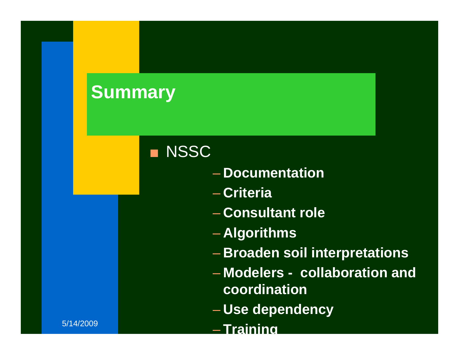# **Summary**

#### **NSSC**

- **Documentation**
- **Criteria**
- **Consultant role**
- **Algorithms**
- **Broaden soil interpretations**
- **Modelers collaboration and coordination**
- **Use dependency**
- **Training**